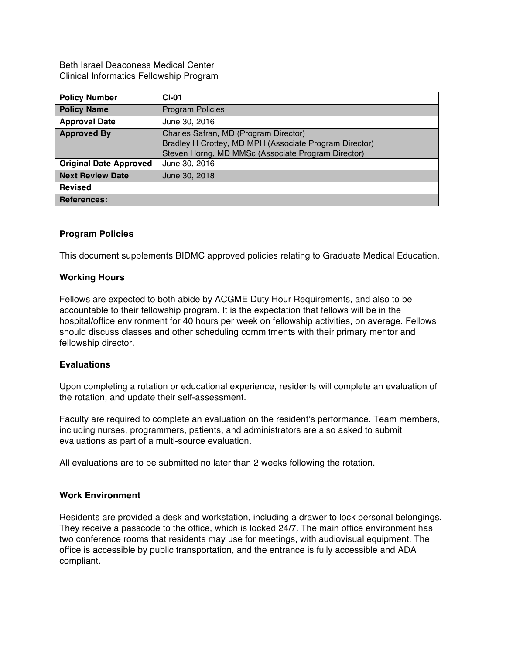Beth Israel Deaconess Medical Center Clinical Informatics Fellowship Program

| <b>Policy Number</b>          | $CI-01$                                                                                                                                               |
|-------------------------------|-------------------------------------------------------------------------------------------------------------------------------------------------------|
| <b>Policy Name</b>            | <b>Program Policies</b>                                                                                                                               |
| <b>Approval Date</b>          | June 30, 2016                                                                                                                                         |
| <b>Approved By</b>            | Charles Safran, MD (Program Director)<br>Bradley H Crottey, MD MPH (Associate Program Director)<br>Steven Horng, MD MMSc (Associate Program Director) |
| <b>Original Date Approved</b> | June 30, 2016                                                                                                                                         |
| <b>Next Review Date</b>       | June 30, 2018                                                                                                                                         |
| <b>Revised</b>                |                                                                                                                                                       |
| <b>References:</b>            |                                                                                                                                                       |

## **Program Policies**

This document supplements BIDMC approved policies relating to Graduate Medical Education.

### **Working Hours**

Fellows are expected to both abide by ACGME Duty Hour Requirements, and also to be accountable to their fellowship program. It is the expectation that fellows will be in the hospital/office environment for 40 hours per week on fellowship activities, on average. Fellows should discuss classes and other scheduling commitments with their primary mentor and fellowship director.

#### **Evaluations**

Upon completing a rotation or educational experience, residents will complete an evaluation of the rotation, and update their self-assessment.

Faculty are required to complete an evaluation on the resident's performance. Team members, including nurses, programmers, patients, and administrators are also asked to submit evaluations as part of a multi-source evaluation.

All evaluations are to be submitted no later than 2 weeks following the rotation.

#### **Work Environment**

Residents are provided a desk and workstation, including a drawer to lock personal belongings. They receive a passcode to the office, which is locked 24/7. The main office environment has two conference rooms that residents may use for meetings, with audiovisual equipment. The office is accessible by public transportation, and the entrance is fully accessible and ADA compliant.